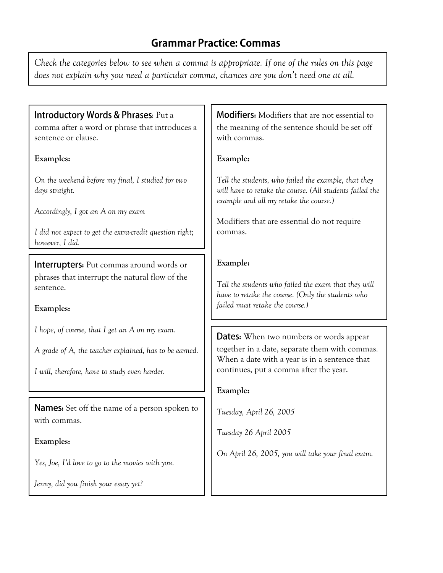# **Grammar Practice: Commas**

*Check the categories below to see when a comma is appropriate. If one of the rules on this page does not explain why you need a particular comma, chances are you don't need one at all.*

### Introductory Words & Phrases: Put a

comma after a word or phrase that introduces a sentence or clause.

#### **Examples:**

*On the weekend before my final, I studied for two days straight.*

*Accordingly, I got an A on my exam*

*I did not expect to get the extra-credit question right; however, I did.*

**Interrupters:** Put commas around words or phrases that interrupt the natural flow of the sentence.

#### **Examples:**

*I hope, of course, that I get an A on my exam.*

*A grade of A, the teacher explained, has to be earned.*

*I will, therefore, have to study even harder.*

**Names:** Set off the name of a person spoken to with commas.

#### **Examples:**

*Yes, Joe, I'd love to go to the movies with you.*

*Jenny, did you finish your essay yet?*

**Modifiers:** Modifiers that are not essential to the meaning of the sentence should be set off with commas.

#### **Example:**

*Tell the students, who failed the example, that they will have to retake the course. (All students failed the example and all my retake the course.)*

Modifiers that are essential do not require commas.

#### **Example:**

*Tell the students who failed the exam that they will have to retake the course. (Only the students who failed must retake the course.)*

**Dates:** When two numbers or words appear together in a date, separate them with commas. When a date with a year is in a sentence that continues, put a comma after the year.

#### **Example:**

*Tuesday, April 26, 2005*

*Tuesday 26 April 2005*

*On April 26, 2005, you will take your final exam.*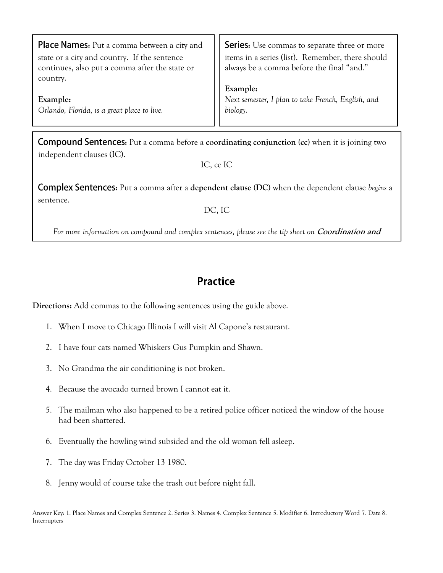| Place Names: Put a comma between a city and<br>state or a city and country. If the sentence<br>continues, also put a comma after the state or<br>country. | <b>Series:</b> Use commas to separate three or more items in a series (list). Remember, there should always be a comma before the final "and." |
|-----------------------------------------------------------------------------------------------------------------------------------------------------------|------------------------------------------------------------------------------------------------------------------------------------------------|
| Example:                                                                                                                                                  | <b>Example:</b><br>Next semester, I plan to take French, English, and                                                                          |
| Orlando, Florida, is a great place to live.                                                                                                               | biology.                                                                                                                                       |

**Compound Sentences:** Put a comma before a **coordinating conjunction** (cc) when it is joining two independent clauses (IC).

IC, cc IC

**Complex Sentences:** Put a comma after a dependent clause (DC) when the dependent clause *begins* a sentence.

DC, IC

For more information on compound and complex sentences, please see the tip sheet on *Coordination and* **Subordination.**

# **Practice**

**Directions:** Add commas to the following sentences using the guide above.

- 1. When I move to Chicago Illinois I will visit Al Capone's restaurant.
- 2. I have four cats named Whiskers Gus Pumpkin and Shawn.
- 3. No Grandma the air conditioning is not broken.
- 4. Because the avocado turned brown I cannot eat it.
- 5. The mailman who also happened to be a retired police officer noticed the window of the house had been shattered.
- 6. Eventually the howling wind subsided and the old woman fell asleep.
- 7. The day was Friday October 13 1980.
- 8. Jenny would of course take the trash out before night fall.

Answer Key: 1. Place Names and Complex Sentence 2. Series 3. Names 4. Complex Sentence 5. Modifier 6. Introductory Word 7. Date 8. Interrupters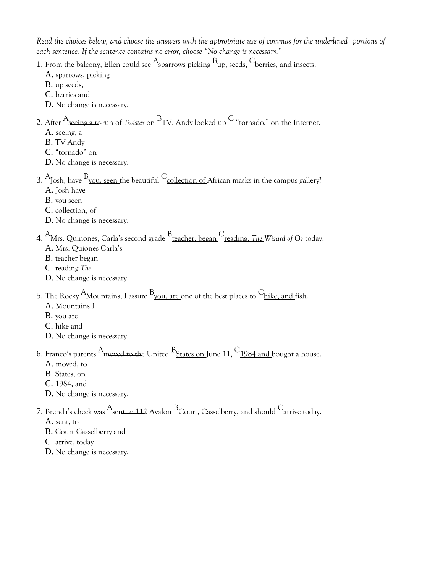*Read the choices below, and choose the answers with the appropriate use of commas for the underlined portions of each sentence. If the sentence contains no error, choose "No change is necessary."*

1. From the balcony, Ellen could see  $A_{\text{spartows picking}}$   $B_{\text{up},\text{seeds},}$  C<sub>berries, and</sub> insects.

- A. sparrows, picking
- B. up seeds,
- C. berries and
- D. No change is necessary.

### 2. After Aseeing <sup>a</sup> re-run of *Twister* on B TV, Andy looked up <sup>C</sup> "tornado," on the Internet.

- A. seeing, a
- B. TV Andy
- C. "tornado" on
- D. No change is necessary.
- 3.  $\rm {A_{Josh, \:have}}$   $\rm {B_{you,\:seen}}$  the beautiful  $\rm {C_{collection\:of}}$  African masks in the campus gallery? A. Josh have
	- B. you seen
	- C. collection, of
	- D. No change is necessary.
- 4. AMrs. Quinones, Carla's second grade <sup>B</sup> teacher, began Creading, *The Wizard of Oz* today.
	- A. Mrs. Quiones Carla's
	- B. teacher began
	- C. reading *The*
	- D. No change is necessary.

### 5. The Rocky  $^{\rm A}$ M<del>ountains, Las</del>sure  $^{\rm B}$  <u>you, are </u>one of the best places to  $^{\rm C}$  <u>hike, and f</u>ish.

- A. Mountains I
- B. you are
- C. hike and
- D. No change is necessary.

## **6.** Franco's parents  $\rm{^{A}}$ moved to the United  $\rm{^{B}}$ <u>States on J</u>une 11,  $\rm{^{C}}$ <u>1984 and </u>bought a house.

- A. moved, to
- B. States, on
- C. 1984, and
- D. No change is necessary.

### 7. Brenda's check was  $^\mathrm{A}$ sen<del>t to 11</del>2 Avalon  $^\mathrm{B}$ <u>Court, Casselberry, and s</u>hould  $^\mathrm{C}$ <u>arrive today</u>.

- A. sent, to
- B. Court Casselberry and
- C. arrive, today
- D. No change is necessary.